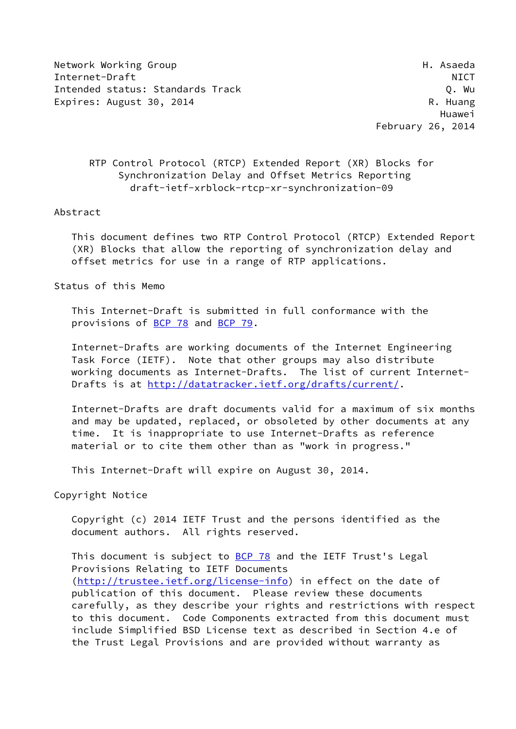Network Working Group Network Asseda Internet-Draft NICT Intended status: Standards Track Q. Wu Expires: August 30, 2014 R. Huang

 Huawei February 26, 2014

## RTP Control Protocol (RTCP) Extended Report (XR) Blocks for Synchronization Delay and Offset Metrics Reporting draft-ietf-xrblock-rtcp-xr-synchronization-09

#### Abstract

 This document defines two RTP Control Protocol (RTCP) Extended Report (XR) Blocks that allow the reporting of synchronization delay and offset metrics for use in a range of RTP applications.

Status of this Memo

 This Internet-Draft is submitted in full conformance with the provisions of [BCP 78](https://datatracker.ietf.org/doc/pdf/bcp78) and [BCP 79](https://datatracker.ietf.org/doc/pdf/bcp79).

 Internet-Drafts are working documents of the Internet Engineering Task Force (IETF). Note that other groups may also distribute working documents as Internet-Drafts. The list of current Internet Drafts is at<http://datatracker.ietf.org/drafts/current/>.

 Internet-Drafts are draft documents valid for a maximum of six months and may be updated, replaced, or obsoleted by other documents at any time. It is inappropriate to use Internet-Drafts as reference material or to cite them other than as "work in progress."

This Internet-Draft will expire on August 30, 2014.

Copyright Notice

 Copyright (c) 2014 IETF Trust and the persons identified as the document authors. All rights reserved.

This document is subject to [BCP 78](https://datatracker.ietf.org/doc/pdf/bcp78) and the IETF Trust's Legal Provisions Relating to IETF Documents [\(http://trustee.ietf.org/license-info](http://trustee.ietf.org/license-info)) in effect on the date of publication of this document. Please review these documents carefully, as they describe your rights and restrictions with respect to this document. Code Components extracted from this document must include Simplified BSD License text as described in Section 4.e of the Trust Legal Provisions and are provided without warranty as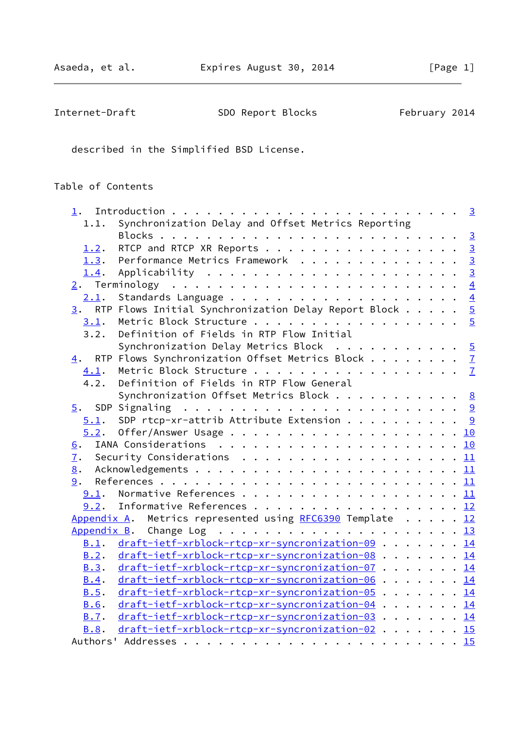| Internet-Draft | SDO Report Blocks | February 2014 |
|----------------|-------------------|---------------|
|----------------|-------------------|---------------|

described in the Simplified BSD License.

# Table of Contents

| 1.1.             | Synchronization Delay and Offset Metrics Reporting          |
|------------------|-------------------------------------------------------------|
|                  |                                                             |
| 1.2.             | RTCP and RTCP XR Reports 3                                  |
| 1.3.             | Performance Metrics Framework 3                             |
| 1.4.             |                                                             |
|                  |                                                             |
| 2.1.             |                                                             |
|                  | 3. RTP Flows Initial Synchronization Delay Report Block $5$ |
|                  | 3.1. Metric Block Structure 5                               |
| 3.2.             | Definition of Fields in RTP Flow Initial                    |
|                  | Synchronization Delay Metrics Block $5$                     |
|                  | 4. RTP Flows Synchronization Offset Metrics Block 7         |
| 4.1.             | Metric Block Structure 7                                    |
| 4.2.             | Definition of Fields in RTP Flow General                    |
|                  | Synchronization Offset Metrics Block 8                      |
| $\overline{5}$ . |                                                             |
|                  | $5.1$ . SDP rtcp-xr-attrib Attribute Extension 9            |
|                  |                                                             |
| 6.               |                                                             |
| 7.               | Security Considerations $\ldots$ 11                         |
| 8.               |                                                             |
|                  |                                                             |
| 9.1.             | Normative References 11                                     |
|                  | 9.2. Informative References 12                              |
|                  | Appendix A. Metrics represented using RFC6390 Template 12   |
|                  |                                                             |
| B.1.             | draft-ietf-xrblock-rtcp-xr-syncronization-09 14             |
| B.2.             | draft-ietf-xrblock-rtcp-xr-syncronization-08 14             |
| B.3.             | draft-ietf-xrblock-rtcp-xr-syncronization-07 14             |
| B.4.             | draft-ietf-xrblock-rtcp-xr-syncronization-06 14             |
| B.5.             | draft-ietf-xrblock-rtcp-xr-syncronization-05 14             |
| <b>B.6.</b>      | draft-ietf-xrblock-rtcp-xr-syncronization-04 14             |
| B.7.             | draft-ietf-xrblock-rtcp-xr-syncronization-03 14             |
| B.8.             | draft-ietf-xrblock-rtcp-xr-syncronization-02 15             |
|                  |                                                             |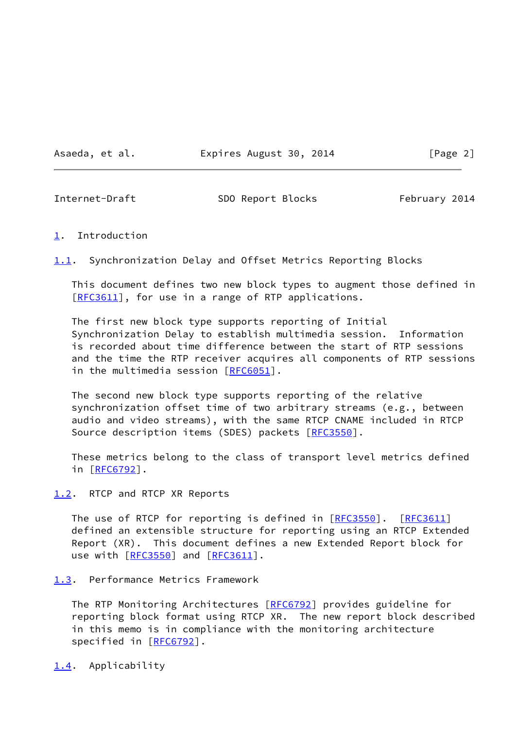Asaeda, et al. **Expires August 30, 2014** [Page 2]

<span id="page-2-1"></span>

Internet-Draft SDO Report Blocks February 2014

#### <span id="page-2-0"></span>[1](#page-2-0). Introduction

<span id="page-2-5"></span>[1.1](#page-2-5). Synchronization Delay and Offset Metrics Reporting Blocks

 This document defines two new block types to augment those defined in [\[RFC3611](https://datatracker.ietf.org/doc/pdf/rfc3611)], for use in a range of RTP applications.

 The first new block type supports reporting of Initial Synchronization Delay to establish multimedia session. Information is recorded about time difference between the start of RTP sessions and the time the RTP receiver acquires all components of RTP sessions in the multimedia session [[RFC6051](https://datatracker.ietf.org/doc/pdf/rfc6051)].

 The second new block type supports reporting of the relative synchronization offset time of two arbitrary streams (e.g., between audio and video streams), with the same RTCP CNAME included in RTCP Source description items (SDES) packets [\[RFC3550](https://datatracker.ietf.org/doc/pdf/rfc3550)].

 These metrics belong to the class of transport level metrics defined in [[RFC6792\]](https://datatracker.ietf.org/doc/pdf/rfc6792).

<span id="page-2-2"></span>[1.2](#page-2-2). RTCP and RTCP XR Reports

The use of RTCP for reporting is defined in [\[RFC3550](https://datatracker.ietf.org/doc/pdf/rfc3550)]. [\[RFC3611](https://datatracker.ietf.org/doc/pdf/rfc3611)] defined an extensible structure for reporting using an RTCP Extended Report (XR). This document defines a new Extended Report block for use with [\[RFC3550](https://datatracker.ietf.org/doc/pdf/rfc3550)] and [\[RFC3611](https://datatracker.ietf.org/doc/pdf/rfc3611)].

<span id="page-2-3"></span>[1.3](#page-2-3). Performance Metrics Framework

The RTP Monitoring Architectures [\[RFC6792](https://datatracker.ietf.org/doc/pdf/rfc6792)] provides guideline for reporting block format using RTCP XR. The new report block described in this memo is in compliance with the monitoring architecture specified in [\[RFC6792](https://datatracker.ietf.org/doc/pdf/rfc6792)].

<span id="page-2-4"></span>[1.4](#page-2-4). Applicability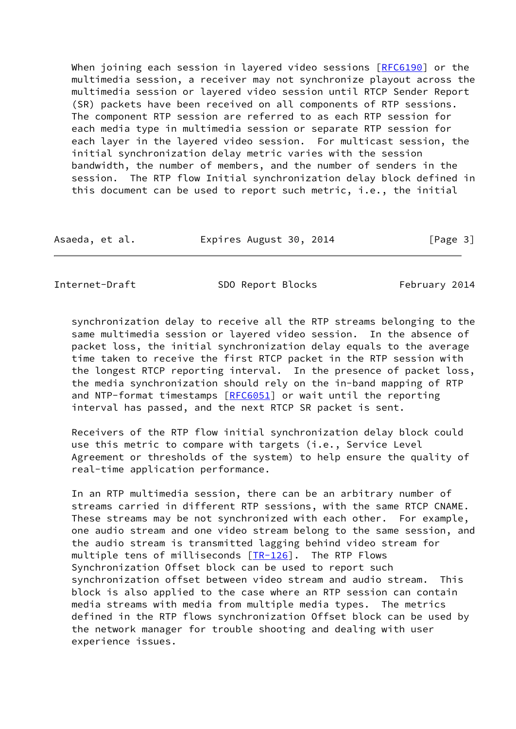When joining each session in layered video sessions [\[RFC6190](https://datatracker.ietf.org/doc/pdf/rfc6190)] or the multimedia session, a receiver may not synchronize playout across the multimedia session or layered video session until RTCP Sender Report (SR) packets have been received on all components of RTP sessions. The component RTP session are referred to as each RTP session for each media type in multimedia session or separate RTP session for each layer in the layered video session. For multicast session, the initial synchronization delay metric varies with the session bandwidth, the number of members, and the number of senders in the session. The RTP flow Initial synchronization delay block defined in this document can be used to report such metric, i.e., the initial

| Asaeda, et al. | Expires August 30, 2014 | [Page 3] |
|----------------|-------------------------|----------|
|----------------|-------------------------|----------|

<span id="page-3-0"></span>Internet-Draft SDO Report Blocks February 2014

 synchronization delay to receive all the RTP streams belonging to the same multimedia session or layered video session. In the absence of packet loss, the initial synchronization delay equals to the average time taken to receive the first RTCP packet in the RTP session with the longest RTCP reporting interval. In the presence of packet loss, the media synchronization should rely on the in-band mapping of RTP and NTP-format timestamps [[RFC6051](https://datatracker.ietf.org/doc/pdf/rfc6051)] or wait until the reporting interval has passed, and the next RTCP SR packet is sent.

 Receivers of the RTP flow initial synchronization delay block could use this metric to compare with targets (i.e., Service Level Agreement or thresholds of the system) to help ensure the quality of real-time application performance.

 In an RTP multimedia session, there can be an arbitrary number of streams carried in different RTP sessions, with the same RTCP CNAME. These streams may be not synchronized with each other. For example, one audio stream and one video stream belong to the same session, and the audio stream is transmitted lagging behind video stream for multiple tens of milliseconds [[TR-126](#page-13-2)]. The RTP Flows Synchronization Offset block can be used to report such synchronization offset between video stream and audio stream. This block is also applied to the case where an RTP session can contain media streams with media from multiple media types. The metrics defined in the RTP flows synchronization Offset block can be used by the network manager for trouble shooting and dealing with user experience issues.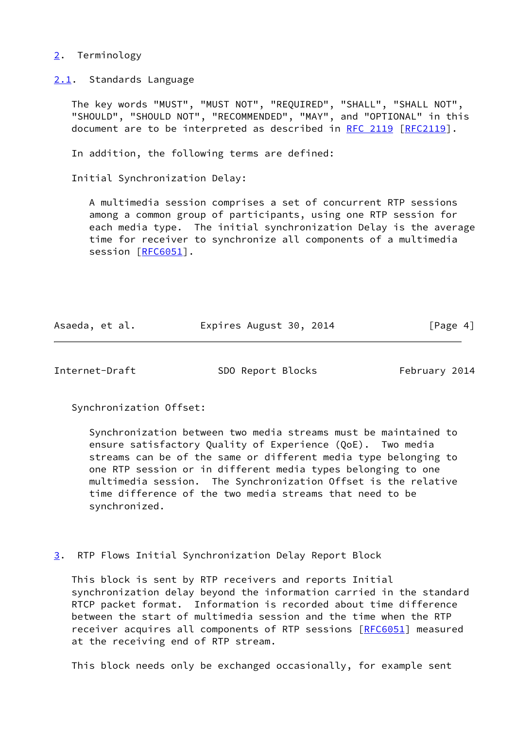#### <span id="page-4-0"></span>[2](#page-4-0). Terminology

<span id="page-4-1"></span>[2.1](#page-4-1). Standards Language

 The key words "MUST", "MUST NOT", "REQUIRED", "SHALL", "SHALL NOT", "SHOULD", "SHOULD NOT", "RECOMMENDED", "MAY", and "OPTIONAL" in this document are to be interpreted as described in [RFC 2119 \[RFC2119](https://datatracker.ietf.org/doc/pdf/rfc2119)].

In addition, the following terms are defined:

Initial Synchronization Delay:

 A multimedia session comprises a set of concurrent RTP sessions among a common group of participants, using one RTP session for each media type. The initial synchronization Delay is the average time for receiver to synchronize all components of a multimedia session [[RFC6051\]](https://datatracker.ietf.org/doc/pdf/rfc6051).

| Asaeda, et al. | Expires August 30, 2014 | [Page 4] |
|----------------|-------------------------|----------|
|                |                         |          |

<span id="page-4-3"></span>

Internet-Draft SDO Report Blocks February 2014

Synchronization Offset:

 Synchronization between two media streams must be maintained to ensure satisfactory Quality of Experience (QoE). Two media streams can be of the same or different media type belonging to one RTP session or in different media types belonging to one multimedia session. The Synchronization Offset is the relative time difference of the two media streams that need to be synchronized.

<span id="page-4-2"></span>[3](#page-4-2). RTP Flows Initial Synchronization Delay Report Block

 This block is sent by RTP receivers and reports Initial synchronization delay beyond the information carried in the standard RTCP packet format. Information is recorded about time difference between the start of multimedia session and the time when the RTP receiver acquires all components of RTP sessions [\[RFC6051](https://datatracker.ietf.org/doc/pdf/rfc6051)] measured at the receiving end of RTP stream.

This block needs only be exchanged occasionally, for example sent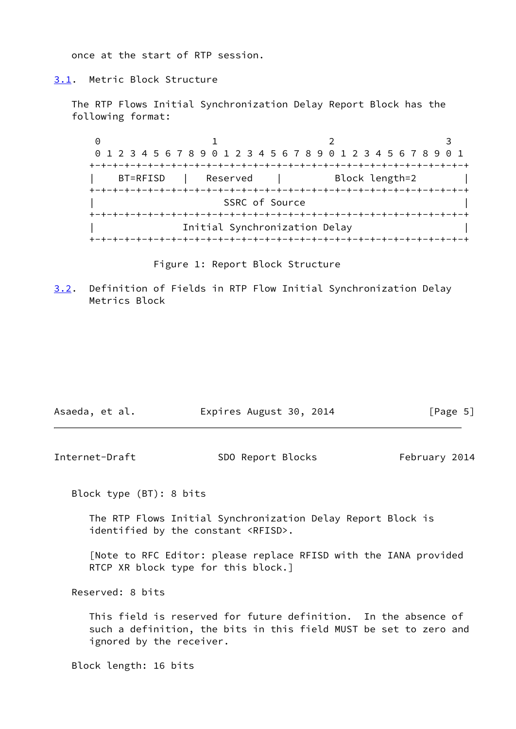once at the start of RTP session.

#### <span id="page-5-0"></span>[3.1](#page-5-0). Metric Block Structure

 The RTP Flows Initial Synchronization Delay Report Block has the following format:

0 1 2 3 0 1 2 3 4 5 6 7 8 9 0 1 2 3 4 5 6 7 8 9 0 1 2 3 4 5 6 7 8 9 0 1 +-+-+-+-+-+-+-+-+-+-+-+-+-+-+-+-+-+-+-+-+-+-+-+-+-+-+-+-+-+-+-+-+ BT=RFISD | Reserved | Block length=2 +-+-+-+-+-+-+-+-+-+-+-+-+-+-+-+-+-+-+-+-+-+-+-+-+-+-+-+-+-+-+-+-+ SSRC of Source +-+-+-+-+-+-+-+-+-+-+-+-+-+-+-+-+-+-+-+-+-+-+-+-+-+-+-+-+-+-+-+-+ Initial Synchronization Delay +-+-+-+-+-+-+-+-+-+-+-+-+-+-+-+-+-+-+-+-+-+-+-+-+-+-+-+-+-+-+-+-+

Figure 1: Report Block Structure

<span id="page-5-1"></span>[3.2](#page-5-1). Definition of Fields in RTP Flow Initial Synchronization Delay Metrics Block

| Asaeda, et al. | Expires August 30, 2014 | [Page 5] |
|----------------|-------------------------|----------|
|----------------|-------------------------|----------|

Internet-Draft SDO Report Blocks February 2014

Block type (BT): 8 bits

 The RTP Flows Initial Synchronization Delay Report Block is identified by the constant <RFISD>.

 [Note to RFC Editor: please replace RFISD with the IANA provided RTCP XR block type for this block.]

Reserved: 8 bits

 This field is reserved for future definition. In the absence of such a definition, the bits in this field MUST be set to zero and ignored by the receiver.

Block length: 16 bits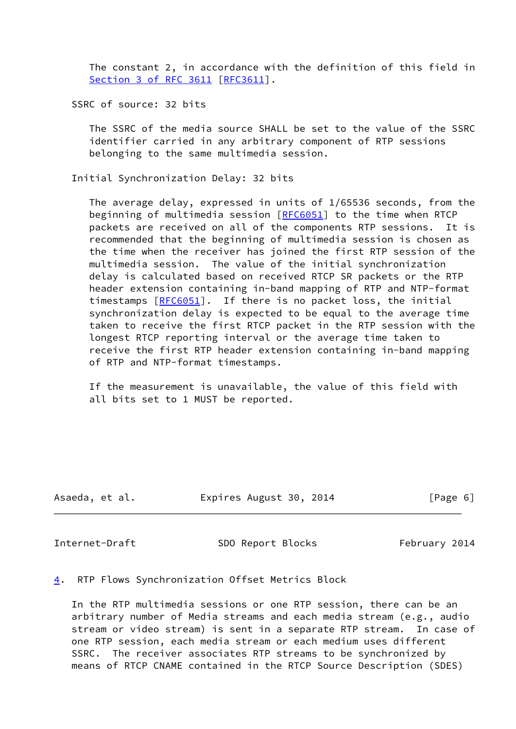The constant 2, in accordance with the definition of this field in Section [3 of RFC 3611](https://datatracker.ietf.org/doc/pdf/rfc3611#section-3) [\[RFC3611](https://datatracker.ietf.org/doc/pdf/rfc3611)].

SSRC of source: 32 bits

 The SSRC of the media source SHALL be set to the value of the SSRC identifier carried in any arbitrary component of RTP sessions belonging to the same multimedia session.

Initial Synchronization Delay: 32 bits

 The average delay, expressed in units of 1/65536 seconds, from the beginning of multimedia session [[RFC6051\]](https://datatracker.ietf.org/doc/pdf/rfc6051) to the time when RTCP packets are received on all of the components RTP sessions. It is recommended that the beginning of multimedia session is chosen as the time when the receiver has joined the first RTP session of the multimedia session. The value of the initial synchronization delay is calculated based on received RTCP SR packets or the RTP header extension containing in-band mapping of RTP and NTP-format timestamps  $[REG051]$ . If there is no packet loss, the initial synchronization delay is expected to be equal to the average time taken to receive the first RTCP packet in the RTP session with the longest RTCP reporting interval or the average time taken to receive the first RTP header extension containing in-band mapping of RTP and NTP-format timestamps.

 If the measurement is unavailable, the value of this field with all bits set to 1 MUST be reported.

| Asaeda, et al. | Expires August 30, 2014 | [Page 6] |
|----------------|-------------------------|----------|
|                |                         |          |

<span id="page-6-1"></span>Internet-Draft SDO Report Blocks February 2014

#### <span id="page-6-0"></span>[4](#page-6-0). RTP Flows Synchronization Offset Metrics Block

 In the RTP multimedia sessions or one RTP session, there can be an arbitrary number of Media streams and each media stream (e.g., audio stream or video stream) is sent in a separate RTP stream. In case of one RTP session, each media stream or each medium uses different SSRC. The receiver associates RTP streams to be synchronized by means of RTCP CNAME contained in the RTCP Source Description (SDES)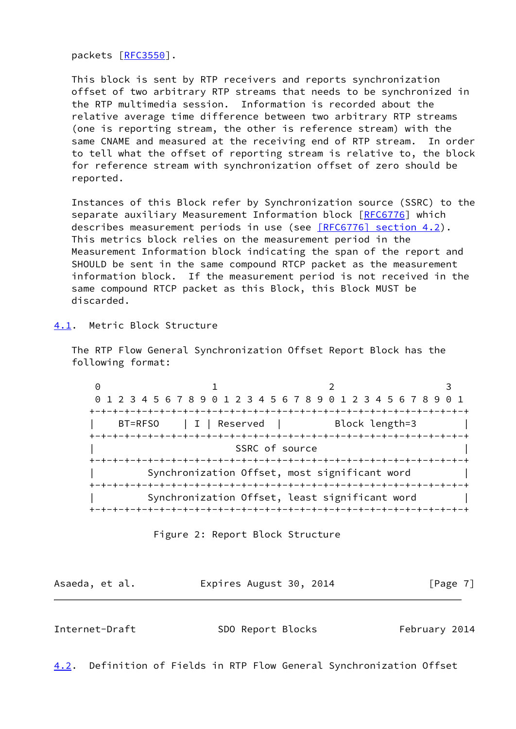packets [\[RFC3550](https://datatracker.ietf.org/doc/pdf/rfc3550)].

 This block is sent by RTP receivers and reports synchronization offset of two arbitrary RTP streams that needs to be synchronized in the RTP multimedia session. Information is recorded about the relative average time difference between two arbitrary RTP streams (one is reporting stream, the other is reference stream) with the same CNAME and measured at the receiving end of RTP stream. In order to tell what the offset of reporting stream is relative to, the block for reference stream with synchronization offset of zero should be reported.

 Instances of this Block refer by Synchronization source (SSRC) to the separate auxiliary Measurement Information block [\[RFC6776](https://datatracker.ietf.org/doc/pdf/rfc6776)] which describes measurement periods in use (see **[RFC6776]** section 4.2). This metrics block relies on the measurement period in the Measurement Information block indicating the span of the report and SHOULD be sent in the same compound RTCP packet as the measurement information block. If the measurement period is not received in the same compound RTCP packet as this Block, this Block MUST be discarded.

#### <span id="page-7-0"></span>[4.1](#page-7-0). Metric Block Structure

 The RTP Flow General Synchronization Offset Report Block has the following format:

0 1 2 3 0 1 2 3 4 5 6 7 8 9 0 1 2 3 4 5 6 7 8 9 0 1 2 3 4 5 6 7 8 9 0 1 +-+-+-+-+-+-+-+-+-+-+-+-+-+-+-+-+-+-+-+-+-+-+-+-+-+-+-+-+-+-+-+-+ BT=RFSO | I | Reserved | Block length=3 +-+-+-+-+-+-+-+-+-+-+-+-+-+-+-+-+-+-+-+-+-+-+-+-+-+-+-+-+-+-+-+-+ SSRC of source +-+-+-+-+-+-+-+-+-+-+-+-+-+-+-+-+-+-+-+-+-+-+-+-+-+-+-+-+-+-+-+-+ Synchronization Offset, most significant word | +-+-+-+-+-+-+-+-+-+-+-+-+-+-+-+-+-+-+-+-+-+-+-+-+-+-+-+-+-+-+-+-+ Synchronization Offset, least significant word +-+-+-+-+-+-+-+-+-+-+-+-+-+-+-+-+-+-+-+-+-+-+-+-+-+-+-+-+-+-+-+-+



| Asaeda, et al. | Expires August 30, 2014 | [Page 7] |
|----------------|-------------------------|----------|
|                |                         |          |

<span id="page-7-1"></span>Internet-Draft SDO Report Blocks February 2014

<span id="page-7-2"></span>[4.2](#page-7-2). Definition of Fields in RTP Flow General Synchronization Offset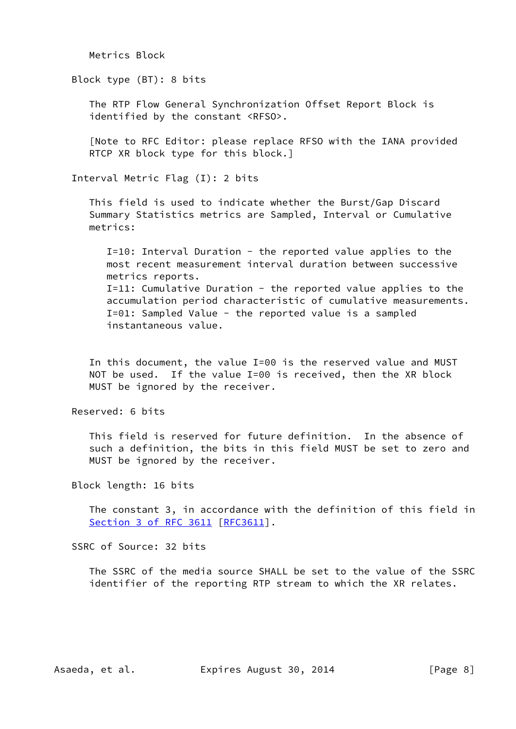Metrics Block

Block type (BT): 8 bits

 The RTP Flow General Synchronization Offset Report Block is identified by the constant <RFSO>.

 [Note to RFC Editor: please replace RFSO with the IANA provided RTCP XR block type for this block.]

Interval Metric Flag (I): 2 bits

 This field is used to indicate whether the Burst/Gap Discard Summary Statistics metrics are Sampled, Interval or Cumulative metrics:

 I=10: Interval Duration - the reported value applies to the most recent measurement interval duration between successive metrics reports. I=11: Cumulative Duration - the reported value applies to the accumulation period characteristic of cumulative measurements. I=01: Sampled Value - the reported value is a sampled instantaneous value.

 In this document, the value I=00 is the reserved value and MUST NOT be used. If the value I=00 is received, then the XR block MUST be ignored by the receiver.

Reserved: 6 bits

 This field is reserved for future definition. In the absence of such a definition, the bits in this field MUST be set to zero and MUST be ignored by the receiver.

Block length: 16 bits

 The constant 3, in accordance with the definition of this field in Section [3 of RFC 3611](https://datatracker.ietf.org/doc/pdf/rfc3611#section-3) [\[RFC3611](https://datatracker.ietf.org/doc/pdf/rfc3611)].

SSRC of Source: 32 bits

 The SSRC of the media source SHALL be set to the value of the SSRC identifier of the reporting RTP stream to which the XR relates.

Asaeda, et al. Expires August 30, 2014 [Page 8]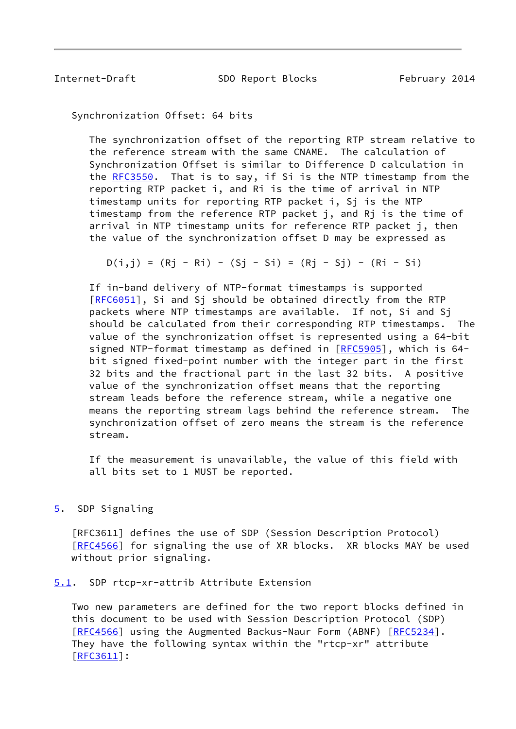<span id="page-9-1"></span>Internet-Draft SDO Report Blocks February 2014

Synchronization Offset: 64 bits

 The synchronization offset of the reporting RTP stream relative to the reference stream with the same CNAME. The calculation of Synchronization Offset is similar to Difference D calculation in the [RFC3550](https://datatracker.ietf.org/doc/pdf/rfc3550). That is to say, if Si is the NTP timestamp from the reporting RTP packet i, and Ri is the time of arrival in NTP timestamp units for reporting RTP packet i, Sj is the NTP timestamp from the reference RTP packet j, and Rj is the time of arrival in NTP timestamp units for reference RTP packet j, then the value of the synchronization offset D may be expressed as

 $D(i,j) = (Rj - Ri) - (Sj - Si) = (Rj - Sj) - (Ri - Si)$ 

 If in-band delivery of NTP-format timestamps is supported [[RFC6051\]](https://datatracker.ietf.org/doc/pdf/rfc6051), Si and Sj should be obtained directly from the RTP packets where NTP timestamps are available. If not, Si and Sj should be calculated from their corresponding RTP timestamps. The value of the synchronization offset is represented using a 64-bit signed NTP-format timestamp as defined in [\[RFC5905](https://datatracker.ietf.org/doc/pdf/rfc5905)], which is 64 bit signed fixed-point number with the integer part in the first 32 bits and the fractional part in the last 32 bits. A positive value of the synchronization offset means that the reporting stream leads before the reference stream, while a negative one means the reporting stream lags behind the reference stream. The synchronization offset of zero means the stream is the reference stream.

 If the measurement is unavailable, the value of this field with all bits set to 1 MUST be reported.

<span id="page-9-0"></span>[5](#page-9-0). SDP Signaling

 [RFC3611] defines the use of SDP (Session Description Protocol) [\[RFC4566](https://datatracker.ietf.org/doc/pdf/rfc4566)] for signaling the use of XR blocks. XR blocks MAY be used without prior signaling.

<span id="page-9-2"></span>[5.1](#page-9-2). SDP rtcp-xr-attrib Attribute Extension

 Two new parameters are defined for the two report blocks defined in this document to be used with Session Description Protocol (SDP) [\[RFC4566](https://datatracker.ietf.org/doc/pdf/rfc4566)] using the Augmented Backus-Naur Form (ABNF) [[RFC5234](https://datatracker.ietf.org/doc/pdf/rfc5234)]. They have the following syntax within the "rtcp-xr" attribute [\[RFC3611](https://datatracker.ietf.org/doc/pdf/rfc3611)]: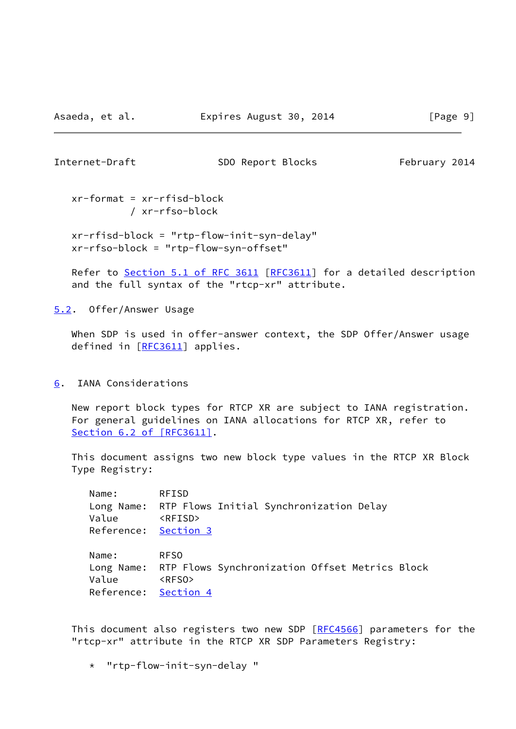<span id="page-10-1"></span>

Internet-Draft SDO Report Blocks February 2014

 xr-format = xr-rfisd-block / xr-rfso-block

 xr-rfisd-block = "rtp-flow-init-syn-delay" xr-rfso-block = "rtp-flow-syn-offset"

Refer to Section [5.1 of RFC 3611](https://datatracker.ietf.org/doc/pdf/rfc3611#section-5.1) [\[RFC3611](https://datatracker.ietf.org/doc/pdf/rfc3611)] for a detailed description and the full syntax of the "rtcp-xr" attribute.

<span id="page-10-0"></span>[5.2](#page-10-0). Offer/Answer Usage

When SDP is used in offer-answer context, the SDP Offer/Answer usage defined in [[RFC3611\]](https://datatracker.ietf.org/doc/pdf/rfc3611) applies.

<span id="page-10-2"></span>[6](#page-10-2). IANA Considerations

 New report block types for RTCP XR are subject to IANA registration. For general guidelines on IANA allocations for RTCP XR, refer to Section [6.2 of \[RFC3611\]](https://datatracker.ietf.org/doc/pdf/rfc3611#section-6.2).

 This document assigns two new block type values in the RTCP XR Block Type Registry:

 Name: RFISD Long Name: RTP Flows Initial Synchronization Delay Value <RFISD> Reference: [Section 3](#page-4-2) Name: RFSO Long Name: RTP Flows Synchronization Offset Metrics Block

 Value <RFSO> Reference: [Section 4](#page-6-0)

This document also registers two new SDP [\[RFC4566](https://datatracker.ietf.org/doc/pdf/rfc4566)] parameters for the "rtcp-xr" attribute in the RTCP XR SDP Parameters Registry:

\* "rtp-flow-init-syn-delay "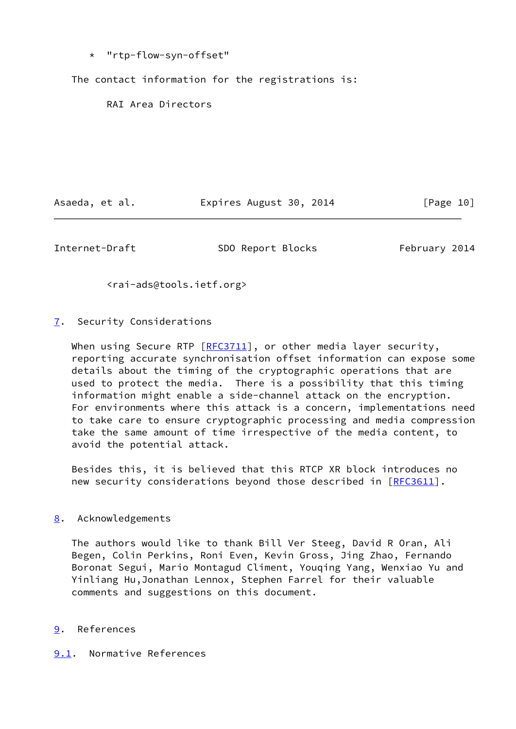\* "rtp-flow-syn-offset"

The contact information for the registrations is:

RAI Area Directors

Asaeda, et al. **Expires August 30, 2014** [Page 10]

<span id="page-11-1"></span>Internet-Draft SDO Report Blocks February 2014

<rai-ads@tools.ietf.org>

<span id="page-11-0"></span>[7](#page-11-0). Security Considerations

When using Secure RTP  $[RE3711]$ , or other media layer security, reporting accurate synchronisation offset information can expose some details about the timing of the cryptographic operations that are used to protect the media. There is a possibility that this timing information might enable a side-channel attack on the encryption. For environments where this attack is a concern, implementations need to take care to ensure cryptographic processing and media compression take the same amount of time irrespective of the media content, to avoid the potential attack.

 Besides this, it is believed that this RTCP XR block introduces no new security considerations beyond those described in [[RFC3611](https://datatracker.ietf.org/doc/pdf/rfc3611)].

## <span id="page-11-2"></span>[8](#page-11-2). Acknowledgements

 The authors would like to thank Bill Ver Steeg, David R Oran, Ali Begen, Colin Perkins, Roni Even, Kevin Gross, Jing Zhao, Fernando Boronat Segui, Mario Montagud Climent, Youqing Yang, Wenxiao Yu and Yinliang Hu,Jonathan Lennox, Stephen Farrel for their valuable comments and suggestions on this document.

## <span id="page-11-3"></span>[9](#page-11-3). References

<span id="page-11-4"></span>[9.1](#page-11-4). Normative References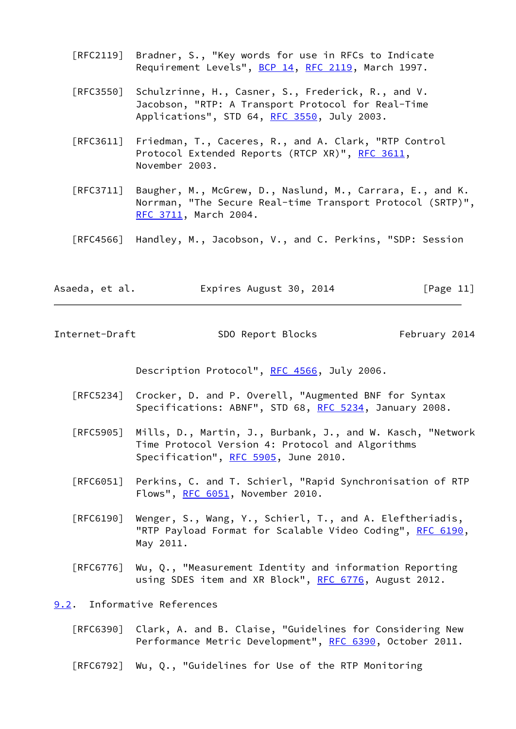- [RFC2119] Bradner, S., "Key words for use in RFCs to Indicate Requirement Levels", [BCP 14](https://datatracker.ietf.org/doc/pdf/bcp14), [RFC 2119](https://datatracker.ietf.org/doc/pdf/rfc2119), March 1997.
- [RFC3550] Schulzrinne, H., Casner, S., Frederick, R., and V. Jacobson, "RTP: A Transport Protocol for Real-Time Applications", STD 64, [RFC 3550](https://datatracker.ietf.org/doc/pdf/rfc3550), July 2003.
- [RFC3611] Friedman, T., Caceres, R., and A. Clark, "RTP Control Protocol Extended Reports (RTCP XR)", [RFC 3611](https://datatracker.ietf.org/doc/pdf/rfc3611), November 2003.
- [RFC3711] Baugher, M., McGrew, D., Naslund, M., Carrara, E., and K. Norrman, "The Secure Real-time Transport Protocol (SRTP)", [RFC 3711,](https://datatracker.ietf.org/doc/pdf/rfc3711) March 2004.
- [RFC4566] Handley, M., Jacobson, V., and C. Perkins, "SDP: Session
- Asaeda, et al. Expires August 30, 2014 [Page 11]

<span id="page-12-1"></span>Internet-Draft SDO Report Blocks February 2014

Description Protocol", [RFC 4566](https://datatracker.ietf.org/doc/pdf/rfc4566), July 2006.

- [RFC5234] Crocker, D. and P. Overell, "Augmented BNF for Syntax Specifications: ABNF", STD 68, [RFC 5234](https://datatracker.ietf.org/doc/pdf/rfc5234), January 2008.
- [RFC5905] Mills, D., Martin, J., Burbank, J., and W. Kasch, "Network Time Protocol Version 4: Protocol and Algorithms Specification", [RFC 5905,](https://datatracker.ietf.org/doc/pdf/rfc5905) June 2010.
- [RFC6051] Perkins, C. and T. Schierl, "Rapid Synchronisation of RTP Flows", [RFC 6051,](https://datatracker.ietf.org/doc/pdf/rfc6051) November 2010.
- [RFC6190] Wenger, S., Wang, Y., Schierl, T., and A. Eleftheriadis, "RTP Payload Format for Scalable Video Coding", [RFC 6190,](https://datatracker.ietf.org/doc/pdf/rfc6190) May 2011.
- [RFC6776] Wu, Q., "Measurement Identity and information Reporting using SDES item and XR Block", [RFC 6776](https://datatracker.ietf.org/doc/pdf/rfc6776), August 2012.

<span id="page-12-0"></span>[9.2](#page-12-0). Informative References

- [RFC6390] Clark, A. and B. Claise, "Guidelines for Considering New Performance Metric Development", [RFC 6390,](https://datatracker.ietf.org/doc/pdf/rfc6390) October 2011.
- [RFC6792] Wu, Q., "Guidelines for Use of the RTP Monitoring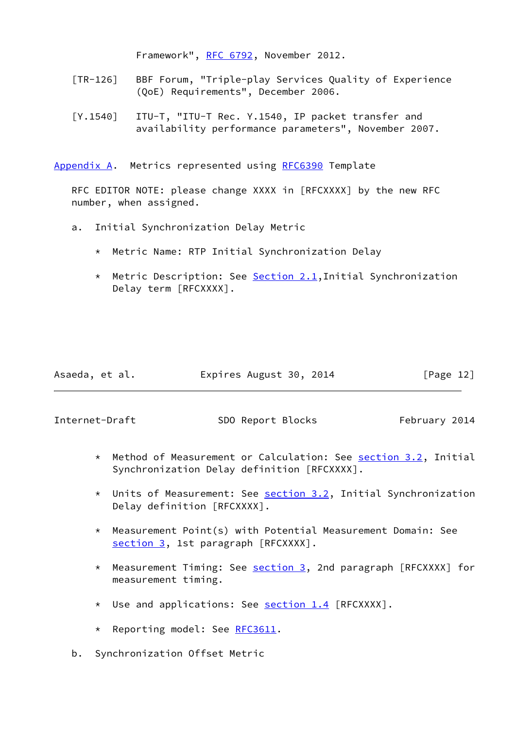Framework", [RFC 6792,](https://datatracker.ietf.org/doc/pdf/rfc6792) November 2012.

- <span id="page-13-2"></span> [TR-126] BBF Forum, "Triple-play Services Quality of Experience (QoE) Requirements", December 2006.
- [Y.1540] ITU-T, "ITU-T Rec. Y.1540, IP packet transfer and availability performance parameters", November 2007.

<span id="page-13-0"></span>[Appendix A.](#page-13-0) Metrics represented using [RFC6390](https://datatracker.ietf.org/doc/pdf/rfc6390) Template

 RFC EDITOR NOTE: please change XXXX in [RFCXXXX] by the new RFC number, when assigned.

- a. Initial Synchronization Delay Metric
	- \* Metric Name: RTP Initial Synchronization Delay
	- \* Metric Description: See [Section 2.1](#page-4-1),Initial Synchronization Delay term [RFCXXXX].

| Asaeda, et al. | Expires August 30, 2014 | [Page 12] |
|----------------|-------------------------|-----------|
|----------------|-------------------------|-----------|

<span id="page-13-1"></span>Internet-Draft SDO Report Blocks February 2014

- \* Method of Measurement or Calculation: See [section 3.2](#page-5-1), Initial Synchronization Delay definition [RFCXXXX].
- \* Units of Measurement: See [section 3.2](#page-5-1), Initial Synchronization Delay definition [RFCXXXX].
- \* Measurement Point(s) with Potential Measurement Domain: See [section 3,](#page-4-2) 1st paragraph [RFCXXXX].
- \* Measurement Timing: See [section 3,](#page-4-2) 2nd paragraph [RFCXXXX] for measurement timing.
- \* Use and applications: See [section 1.4](#page-2-4) [RFCXXXX].
- \* Reporting model: See [RFC3611.](https://datatracker.ietf.org/doc/pdf/rfc3611)
- b. Synchronization Offset Metric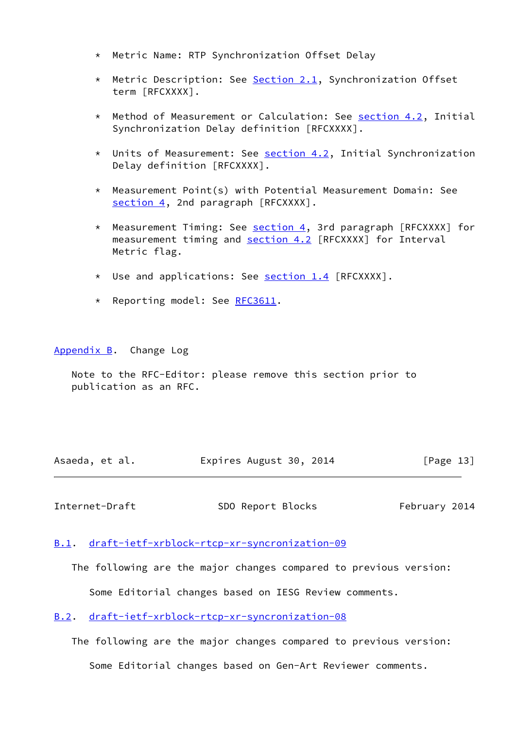- \* Metric Name: RTP Synchronization Offset Delay
- \* Metric Description: See [Section 2.1](#page-4-1), Synchronization Offset term [RFCXXXX].
- \* Method of Measurement or Calculation: See [section 4.2](#page-7-2), Initial Synchronization Delay definition [RFCXXXX].
- \* Units of Measurement: See [section 4.2](#page-7-2), Initial Synchronization Delay definition [RFCXXXX].
- \* Measurement Point(s) with Potential Measurement Domain: See [section 4,](#page-6-0) 2nd paragraph [RFCXXXX].
- \* Measurement Timing: See [section 4,](#page-6-0) 3rd paragraph [RFCXXXX] for measurement timing and [section 4.2](#page-7-2) [RFCXXXX] for Interval Metric flag.
- \* Use and applications: See [section 1.4](#page-2-4) [RFCXXXX].
- \* Reporting model: See [RFC3611.](https://datatracker.ietf.org/doc/pdf/rfc3611)

<span id="page-14-0"></span>[Appendix B.](#page-14-0) Change Log

 Note to the RFC-Editor: please remove this section prior to publication as an RFC.

Asaeda, et al. **Expires August 30, 2014** [Page 13]

<span id="page-14-2"></span>Internet-Draft SDO Report Blocks February 2014

#### <span id="page-14-1"></span>[B.1](#page-14-1). [draft-ietf-xrblock-rtcp-xr-syncronization-09](https://datatracker.ietf.org/doc/pdf/draft-ietf-xrblock-rtcp-xr-syncronization-09)

 The following are the major changes compared to previous version: Some Editorial changes based on IESG Review comments.

<span id="page-14-3"></span>[B.2](#page-14-3). [draft-ietf-xrblock-rtcp-xr-syncronization-08](https://datatracker.ietf.org/doc/pdf/draft-ietf-xrblock-rtcp-xr-syncronization-08)

 The following are the major changes compared to previous version: Some Editorial changes based on Gen-Art Reviewer comments.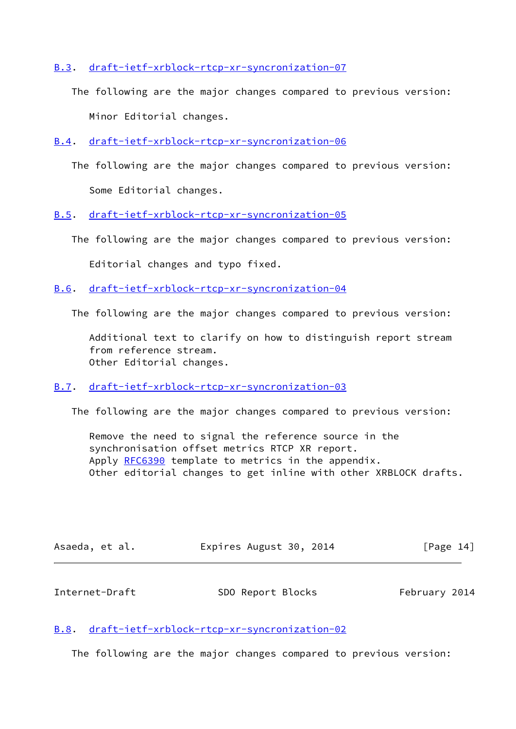<span id="page-15-0"></span>[B.3](#page-15-0). [draft-ietf-xrblock-rtcp-xr-syncronization-07](https://datatracker.ietf.org/doc/pdf/draft-ietf-xrblock-rtcp-xr-syncronization-07)

- The following are the major changes compared to previous version: Minor Editorial changes.
- <span id="page-15-1"></span>[B.4](#page-15-1). [draft-ietf-xrblock-rtcp-xr-syncronization-06](https://datatracker.ietf.org/doc/pdf/draft-ietf-xrblock-rtcp-xr-syncronization-06)
	- The following are the major changes compared to previous version: Some Editorial changes.
- <span id="page-15-2"></span>[B.5](#page-15-2). [draft-ietf-xrblock-rtcp-xr-syncronization-05](https://datatracker.ietf.org/doc/pdf/draft-ietf-xrblock-rtcp-xr-syncronization-05)
	- The following are the major changes compared to previous version:

Editorial changes and typo fixed.

<span id="page-15-3"></span>[B.6](#page-15-3). [draft-ietf-xrblock-rtcp-xr-syncronization-04](https://datatracker.ietf.org/doc/pdf/draft-ietf-xrblock-rtcp-xr-syncronization-04)

The following are the major changes compared to previous version:

 Additional text to clarify on how to distinguish report stream from reference stream. Other Editorial changes.

#### <span id="page-15-4"></span>[B.7](#page-15-4). [draft-ietf-xrblock-rtcp-xr-syncronization-03](https://datatracker.ietf.org/doc/pdf/draft-ietf-xrblock-rtcp-xr-syncronization-03)

The following are the major changes compared to previous version:

 Remove the need to signal the reference source in the synchronisation offset metrics RTCP XR report. Apply [RFC6390](https://datatracker.ietf.org/doc/pdf/rfc6390) template to metrics in the appendix. Other editorial changes to get inline with other XRBLOCK drafts.

| Asaeda, et al. |  | Expires August 30, 2014 |  |  |  | [Page 14] |  |
|----------------|--|-------------------------|--|--|--|-----------|--|
|----------------|--|-------------------------|--|--|--|-----------|--|

<span id="page-15-6"></span>

| Internet-Draft | SDO Report Blocks | February 2014 |
|----------------|-------------------|---------------|
|----------------|-------------------|---------------|

### <span id="page-15-5"></span>[B.8](#page-15-5). [draft-ietf-xrblock-rtcp-xr-syncronization-02](https://datatracker.ietf.org/doc/pdf/draft-ietf-xrblock-rtcp-xr-syncronization-02)

The following are the major changes compared to previous version: